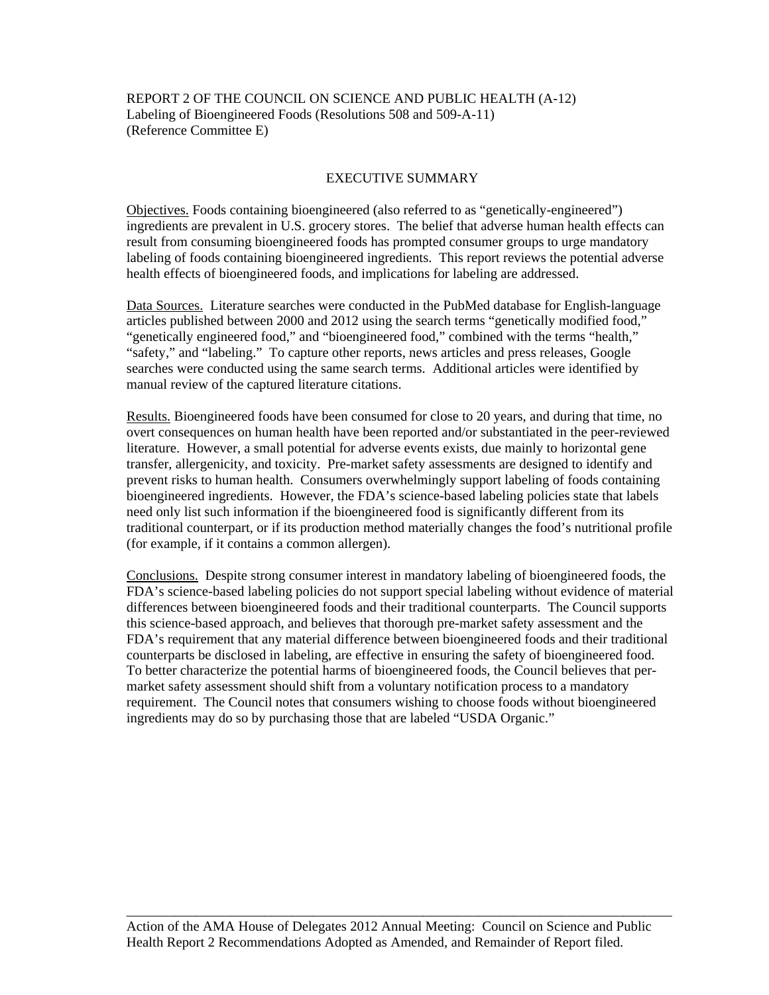REPORT 2 OF THE COUNCIL ON SCIENCE AND PUBLIC HEALTH (A-12) Labeling of Bioengineered Foods (Resolutions 508 and 509-A-11) (Reference Committee E)

### EXECUTIVE SUMMARY

Objectives. Foods containing bioengineered (also referred to as "genetically-engineered") ingredients are prevalent in U.S. grocery stores. The belief that adverse human health effects can result from consuming bioengineered foods has prompted consumer groups to urge mandatory labeling of foods containing bioengineered ingredients. This report reviews the potential adverse health effects of bioengineered foods, and implications for labeling are addressed.

Data Sources.Literature searches were conducted in the PubMed database for English-language articles published between 2000 and 2012 using the search terms "genetically modified food," "genetically engineered food," and "bioengineered food," combined with the terms "health," "safety," and "labeling." To capture other reports, news articles and press releases, Google searches were conducted using the same search terms. Additional articles were identified by manual review of the captured literature citations.

Results. Bioengineered foods have been consumed for close to 20 years, and during that time, no overt consequences on human health have been reported and/or substantiated in the peer-reviewed literature. However, a small potential for adverse events exists, due mainly to horizontal gene transfer, allergenicity, and toxicity. Pre-market safety assessments are designed to identify and prevent risks to human health. Consumers overwhelmingly support labeling of foods containing bioengineered ingredients. However, the FDA's science-based labeling policies state that labels need only list such information if the bioengineered food is significantly different from its traditional counterpart, or if its production method materially changes the food's nutritional profile (for example, if it contains a common allergen).

Conclusions.Despite strong consumer interest in mandatory labeling of bioengineered foods, the FDA's science-based labeling policies do not support special labeling without evidence of material differences between bioengineered foods and their traditional counterparts. The Council supports this science-based approach, and believes that thorough pre-market safety assessment and the FDA's requirement that any material difference between bioengineered foods and their traditional counterparts be disclosed in labeling, are effective in ensuring the safety of bioengineered food. To better characterize the potential harms of bioengineered foods, the Council believes that permarket safety assessment should shift from a voluntary notification process to a mandatory requirement. The Council notes that consumers wishing to choose foods without bioengineered ingredients may do so by purchasing those that are labeled "USDA Organic."

\_\_\_\_\_\_\_\_\_\_\_\_\_\_\_\_\_\_\_\_\_\_\_\_\_\_\_\_\_\_\_\_\_\_\_\_\_\_\_\_\_\_\_\_\_\_\_\_\_\_\_\_\_\_\_\_\_\_\_\_\_\_\_\_\_\_\_\_\_\_\_\_\_\_\_\_\_\_\_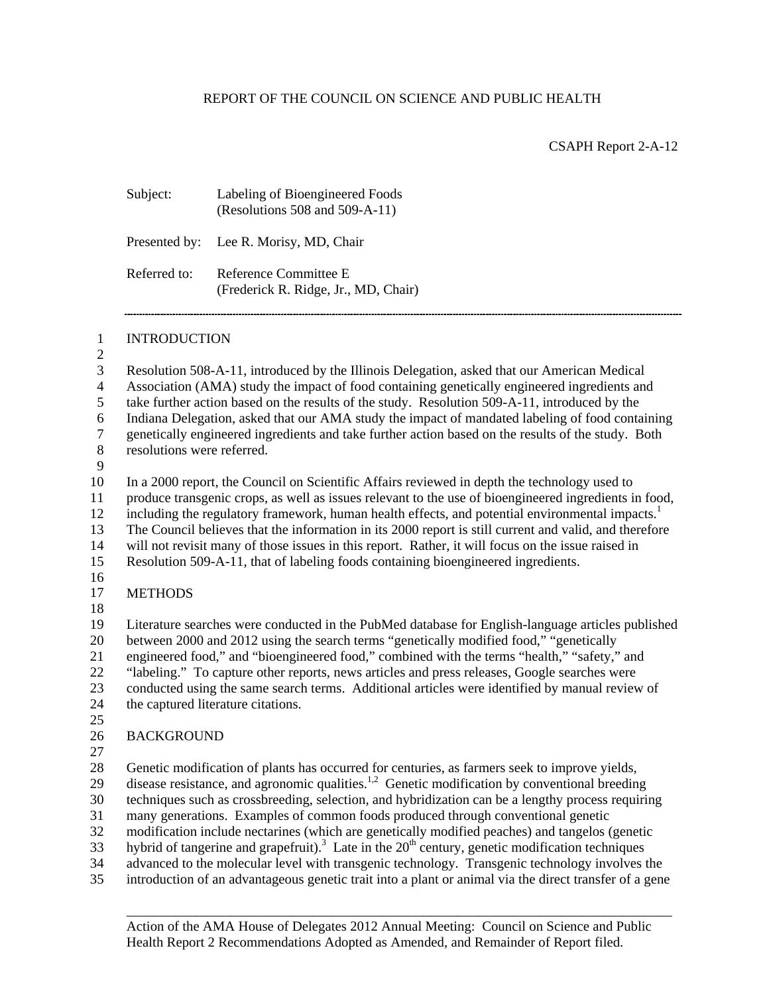CSAPH Report 2-A-12

| Subject:                   | Labeling of Bioengineered Foods<br>(Resolutions 508 and 509-A-11)                                                                                                                                                                                                                                                                                                                                                                                                                                                                                                                                                                                                                                                                  |
|----------------------------|------------------------------------------------------------------------------------------------------------------------------------------------------------------------------------------------------------------------------------------------------------------------------------------------------------------------------------------------------------------------------------------------------------------------------------------------------------------------------------------------------------------------------------------------------------------------------------------------------------------------------------------------------------------------------------------------------------------------------------|
| Presented by:              | Lee R. Morisy, MD, Chair                                                                                                                                                                                                                                                                                                                                                                                                                                                                                                                                                                                                                                                                                                           |
| Referred to:               | Reference Committee E<br>(Frederick R. Ridge, Jr., MD, Chair)                                                                                                                                                                                                                                                                                                                                                                                                                                                                                                                                                                                                                                                                      |
| <b>INTRODUCTION</b>        |                                                                                                                                                                                                                                                                                                                                                                                                                                                                                                                                                                                                                                                                                                                                    |
| resolutions were referred. | Resolution 508-A-11, introduced by the Illinois Delegation, asked that our American Medical<br>Association (AMA) study the impact of food containing genetically engineered ingredients and<br>take further action based on the results of the study. Resolution 509-A-11, introduced by the<br>Indiana Delegation, asked that our AMA study the impact of mandated labeling of food containing<br>genetically engineered ingredients and take further action based on the results of the study. Both                                                                                                                                                                                                                              |
|                            | In a 2000 report, the Council on Scientific Affairs reviewed in depth the technology used to<br>produce transgenic crops, as well as issues relevant to the use of bioengineered ingredients in food,<br>including the regulatory framework, human health effects, and potential environmental impacts. <sup>1</sup><br>The Council believes that the information in its 2000 report is still current and valid, and therefore<br>will not revisit many of those issues in this report. Rather, it will focus on the issue raised in<br>Resolution 509-A-11, that of labeling foods containing bioengineered ingredients.                                                                                                          |
| <b>METHODS</b>             |                                                                                                                                                                                                                                                                                                                                                                                                                                                                                                                                                                                                                                                                                                                                    |
|                            | Literature searches were conducted in the PubMed database for English-language articles published<br>between 2000 and 2012 using the search terms "genetically modified food," "genetically<br>engineered food," and "bioengineered food," combined with the terms "health," "safety," and<br>"labeling." To capture other reports, news articles and press releases, Google searches were<br>conducted using the same search terms. Additional articles were identified by manual review of<br>the captured literature citations.                                                                                                                                                                                                 |
| <b>BACKGROUND</b>          |                                                                                                                                                                                                                                                                                                                                                                                                                                                                                                                                                                                                                                                                                                                                    |
|                            | Genetic modification of plants has occurred for centuries, as farmers seek to improve yields,<br>disease resistance, and agronomic qualities. <sup>1,2</sup> Genetic modification by conventional breeding<br>techniques such as crossbreeding, selection, and hybridization can be a lengthy process requiring<br>many generations. Examples of common foods produced through conventional genetic<br>modification include nectarines (which are genetically modified peaches) and tangelos (genetic<br>hybrid of tangerine and grapefruit). <sup>3</sup> Late in the 20 <sup>th</sup> century, genetic modification techniques<br>advanced to the molecular level with transgenic technology. Transgenic technology involves the |

> Action of the AMA House of Delegates 2012 Annual Meeting: Council on Science and Public Health Report 2 Recommendations Adopted as Amended, and Remainder of Report filed.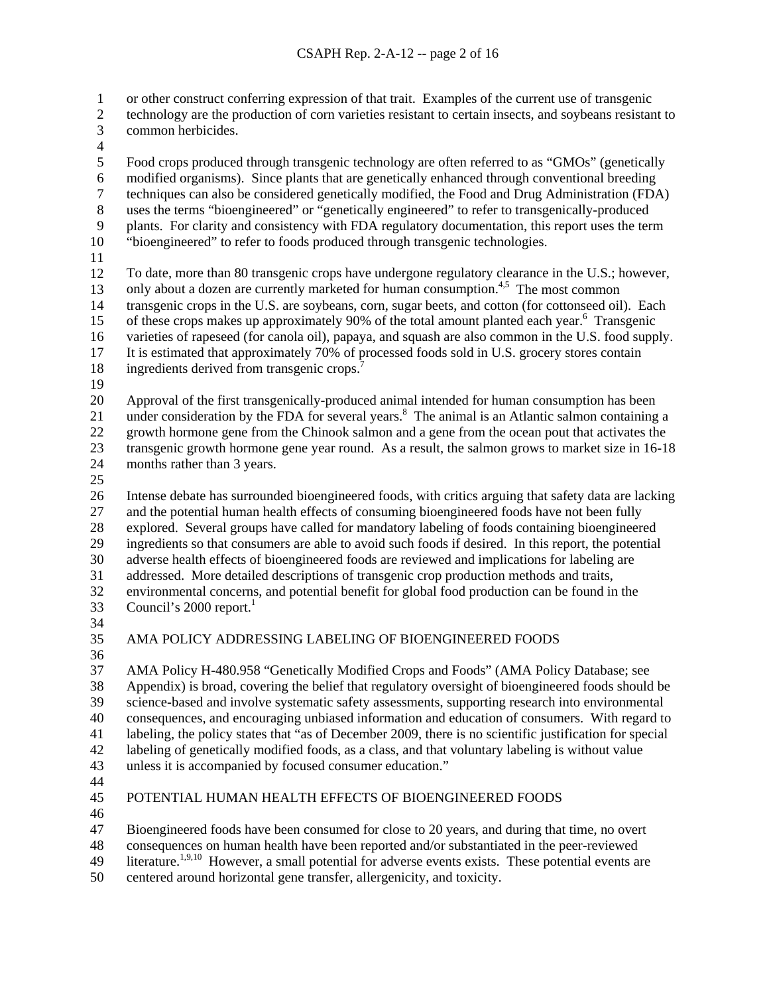or other construct conferring expression of that trait. Examples of the current use of transgenic 1

- technology are the production of corn varieties resistant to certain insects, and soybeans resistant to common herbicides. 2 3
- 4

5 Food crops produced through transgenic technology are often referred to as "GMOs" (genetically

- 6 modified organisms). Since plants that are genetically enhanced through conventional breeding
- 7 techniques can also be considered genetically modified, the Food and Drug Administration (FDA)
- 8 uses the terms "bioengineered" or "genetically engineered" to refer to transgenically-produced
- 9 10 plants. For clarity and consistency with FDA regulatory documentation, this report uses the term "bioengineered" to refer to foods produced through transgenic technologies.
- 11
- 12 13 14 To date, more than 80 transgenic crops have undergone regulatory clearance in the U.S.; however, only about a dozen are currently marketed for human consumption.<sup>4,5</sup> The most common transgenic crops in the U.S. are soybeans, corn, sugar beets, and cotton (for cottonseed oil). Each
- 15 16 of these crops makes up approximately 90% of the total amount planted each year.<sup>6</sup> Transgenic varieties of rapeseed (for canola oil), papaya, and squash are also common in the U.S. food supply.

17 It is estimated that approximately 70% of processed foods sold in U.S. grocery stores contain

- 18 ingredients derived from transgenic crops. $\frac{7}{7}$
- 19

20 Approval of the first transgenically-produced animal intended for human consumption has been

21 22 under consideration by the FDA for several years.<sup>8</sup> The animal is an Atlantic salmon containing a growth hormone gene from the Chinook salmon and a gene from the ocean pout that activates the

23 transgenic growth hormone gene year round. As a result, the salmon grows to market size in 16-18

- 24 months rather than 3 years.
- 25

26 27 28 29 30 31 32 Intense debate has surrounded bioengineered foods, with critics arguing that safety data are lacking and the potential human health effects of consuming bioengineered foods have not been fully explored. Several groups have called for mandatory labeling of foods containing bioengineered ingredients so that consumers are able to avoid such foods if desired. In this report, the potential adverse health effects of bioengineered foods are reviewed and implications for labeling are addressed. More detailed descriptions of transgenic crop production methods and traits, environmental concerns, and potential benefit for global food production can be found in the

- 33 Council's  $2000$  report.<sup>1</sup>
- 34
- 35

## AMA POLICY ADDRESSING LABELING OF BIOENGINEERED FOODS

36

37 38 39 40 41 42 43 AMA Policy H-480.958 "Genetically Modified Crops and Foods" (AMA Policy Database; see Appendix) is broad, covering the belief that regulatory oversight of bioengineered foods should be science-based and involve systematic safety assessments, supporting research into environmental consequences, and encouraging unbiased information and education of consumers. With regard to labeling, the policy states that "as of December 2009, there is no scientific justification for special labeling of genetically modified foods, as a class, and that voluntary labeling is without value unless it is accompanied by focused consumer education."

44

#### 45 POTENTIAL HUMAN HEALTH EFFECTS OF BIOENGINEERED FOODS

46

47 Bioengineered foods have been consumed for close to 20 years, and during that time, no overt

48 consequences on human health have been reported and/or substantiated in the peer-reviewed

49 literature.<sup>1,9,10</sup> However, a small potential for adverse events exists. These potential events are

50 centered around horizontal gene transfer, allergenicity, and toxicity.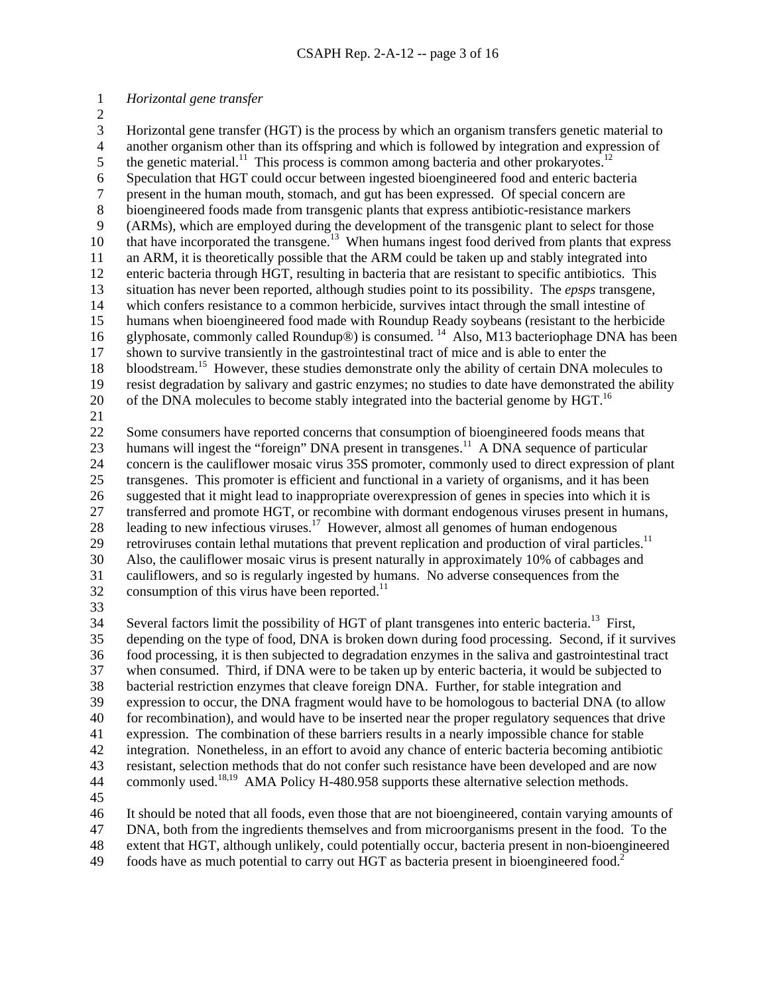### 1 *Horizontal gene transfer*

2

3 4 5 6 7 8 9 10 11 12 13 14 15 16 17 18 19 20 21 22 23 24 25 26 27 28 29 30 31 32 Horizontal gene transfer (HGT) is the process by which an organism transfers genetic material to another organism other than its offspring and which is followed by integration and expression of the genetic material.<sup>11</sup> This process is common among bacteria and other prokaryotes.<sup>12</sup> Speculation that HGT could occur between ingested bioengineered food and enteric bacteria present in the human mouth, stomach, and gut has been expressed. Of special concern are bioengineered foods made from transgenic plants that express antibiotic-resistance markers (ARMs), which are employed during the development of the transgenic plant to select for those that have incorporated the transgene.13 When humans ingest food derived from plants that express an ARM, it is theoretically possible that the ARM could be taken up and stably integrated into enteric bacteria through HGT, resulting in bacteria that are resistant to specific antibiotics. This situation has never been reported, although studies point to its possibility. The *epsps* transgene, which confers resistance to a common herbicide, survives intact through the small intestine of humans when bioengineered food made with Roundup Ready soybeans (resistant to the herbicide glyphosate, commonly called Roundup<sup>®</sup>) is consumed. <sup>14</sup> Also, M13 bacteriophage DNA has been shown to survive transiently in the gastrointestinal tract of mice and is able to enter the bloodstream.<sup>15</sup> However, these studies demonstrate only the ability of certain DNA molecules to resist degradation by salivary and gastric enzymes; no studies to date have demonstrated the ability of the DNA molecules to become stably integrated into the bacterial genome by HGT.<sup>16</sup> Some consumers have reported concerns that consumption of bioengineered foods means that humans will ingest the "foreign" DNA present in transgenes.<sup>11</sup> A DNA sequence of particular concern is the cauliflower mosaic virus 35S promoter, commonly used to direct expression of plant transgenes. This promoter is efficient and functional in a variety of organisms, and it has been suggested that it might lead to inappropriate overexpression of genes in species into which it is transferred and promote HGT, or recombine with dormant endogenous viruses present in humans, leading to new infectious viruses.<sup>17</sup> However, almost all genomes of human endogenous retroviruses contain lethal mutations that prevent replication and production of viral particles.<sup>11</sup> Also, the cauliflower mosaic virus is present naturally in approximately 10% of cabbages and cauliflowers, and so is regularly ingested by humans. No adverse consequences from the consumption of this virus have been reported. $^{11}$ 

33

34 35 36 37 38 39 40 41 42 43 44 45 Several factors limit the possibility of HGT of plant transgenes into enteric bacteria.<sup>13</sup> First, depending on the type of food, DNA is broken down during food processing. Second, if it survives food processing, it is then subjected to degradation enzymes in the saliva and gastrointestinal tract when consumed. Third, if DNA were to be taken up by enteric bacteria, it would be subjected to bacterial restriction enzymes that cleave foreign DNA. Further, for stable integration and expression to occur, the DNA fragment would have to be homologous to bacterial DNA (to allow for recombination), and would have to be inserted near the proper regulatory sequences that drive expression. The combination of these barriers results in a nearly impossible chance for stable integration. Nonetheless, in an effort to avoid any chance of enteric bacteria becoming antibiotic resistant, selection methods that do not confer such resistance have been developed and are now commonly used.<sup>18,19</sup> AMA Policy H-480.958 supports these alternative selection methods.

46 47 48 It should be noted that all foods, even those that are not bioengineered, contain varying amounts of DNA, both from the ingredients themselves and from microorganisms present in the food. To the extent that HGT, although unlikely, could potentially occur, bacteria present in non-bioengineered

49 foods have as much potential to carry out HGT as bacteria present in bioengineered food.<sup>2</sup>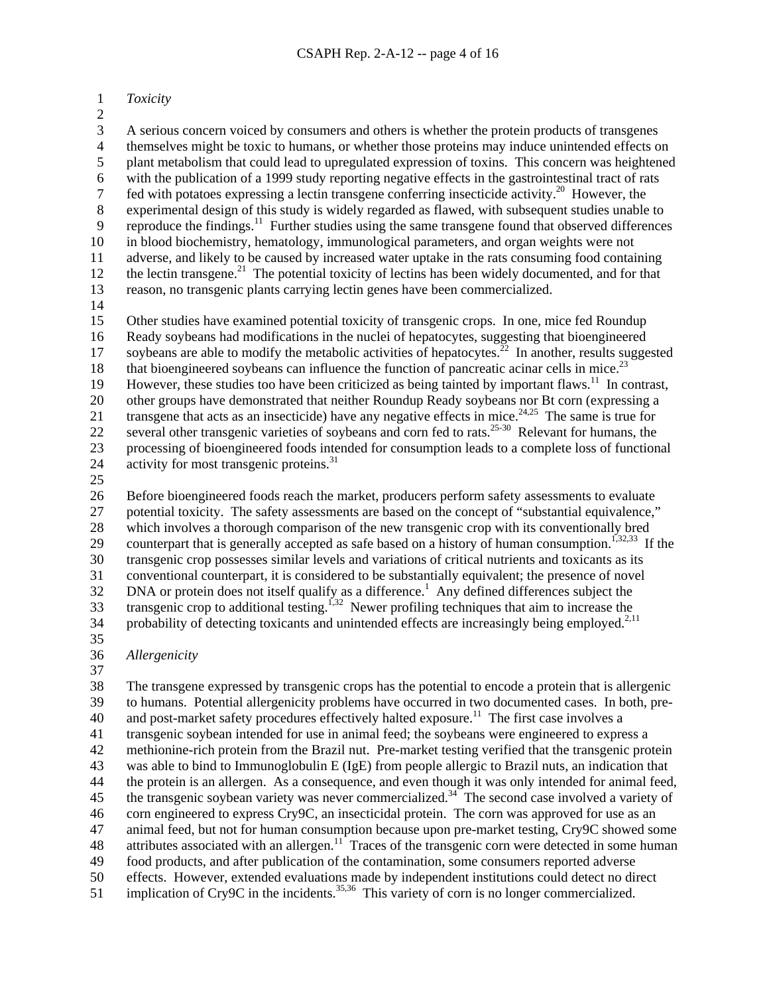### 1 *Toxicity*

2

3 4 5 6 7 8 9 10 11 12 13 14 A serious concern voiced by consumers and others is whether the protein products of transgenes themselves might be toxic to humans, or whether those proteins may induce unintended effects on plant metabolism that could lead to upregulated expression of toxins. This concern was heightened with the publication of a 1999 study reporting negative effects in the gastrointestinal tract of rats fed with potatoes expressing a lectin transgene conferring insecticide activity.20 However, the experimental design of this study is widely regarded as flawed, with subsequent studies unable to reproduce the findings.<sup>11</sup> Further studies using the same transgene found that observed differences in blood biochemistry, hematology, immunological parameters, and organ weights were not adverse, and likely to be caused by increased water uptake in the rats consuming food containing the lectin transgene.<sup>21</sup> The potential toxicity of lectins has been widely documented, and for that reason, no transgenic plants carrying lectin genes have been commercialized.

15 16 17 18 19 20 21 22 23 24 Other studies have examined potential toxicity of transgenic crops. In one, mice fed Roundup Ready soybeans had modifications in the nuclei of hepatocytes, suggesting that bioengineered soybeans are able to modify the metabolic activities of hepatocytes.<sup>22</sup> In another, results suggested that bioengineered soybeans can influence the function of pancreatic acinar cells in mice.<sup>23</sup> However, these studies too have been criticized as being tainted by important flaws.<sup>11</sup> In contrast, other groups have demonstrated that neither Roundup Ready soybeans nor Bt corn (expressing a transgene that acts as an insecticide) have any negative effects in mice.<sup>24,25</sup> The same is true for several other transgenic varieties of soybeans and corn fed to rats.<sup>25-30</sup> Relevant for humans, the processing of bioengineered foods intended for consumption leads to a complete loss of functional activity for most transgenic proteins.31

25

26 27 28 29 30 31 32 33 34 Before bioengineered foods reach the market, producers perform safety assessments to evaluate potential toxicity. The safety assessments are based on the concept of "substantial equivalence," which involves a thorough comparison of the new transgenic crop with its conventionally bred counterpart that is generally accepted as safe based on a history of human consumption.<sup>1,32,33</sup> If the transgenic crop possesses similar levels and variations of critical nutrients and toxicants as its conventional counterpart, it is considered to be substantially equivalent; the presence of novel DNA or protein does not itself qualify as a difference.<sup>1</sup> Any defined differences subject the transgenic crop to additional testing.<sup>1,32</sup> Newer profiling techniques that aim to increase the probability of detecting toxicants and unintended effects are increasingly being employed.<sup>2,11</sup>

- 35
- 36 *Allergenicity*
- 37

38 39 40 41 42 43 44 45 46 47 48 49 50 51 The transgene expressed by transgenic crops has the potential to encode a protein that is allergenic to humans. Potential allergenicity problems have occurred in two documented cases. In both, preand post-market safety procedures effectively halted exposure.<sup>11</sup> The first case involves a transgenic soybean intended for use in animal feed; the soybeans were engineered to express a methionine-rich protein from the Brazil nut. Pre-market testing verified that the transgenic protein was able to bind to Immunoglobulin E (IgE) from people allergic to Brazil nuts, an indication that the protein is an allergen. As a consequence, and even though it was only intended for animal feed, the transgenic soybean variety was never commercialized.<sup>34</sup> The second case involved a variety of corn engineered to express Cry9C, an insecticidal protein. The corn was approved for use as an animal feed, but not for human consumption because upon pre-market testing, Cry9C showed some attributes associated with an allergen.<sup>11</sup> Traces of the transgenic corn were detected in some human food products, and after publication of the contamination, some consumers reported adverse effects. However, extended evaluations made by independent institutions could detect no direct implication of Cry9C in the incidents.<sup>35,36</sup> This variety of corn is no longer commercialized.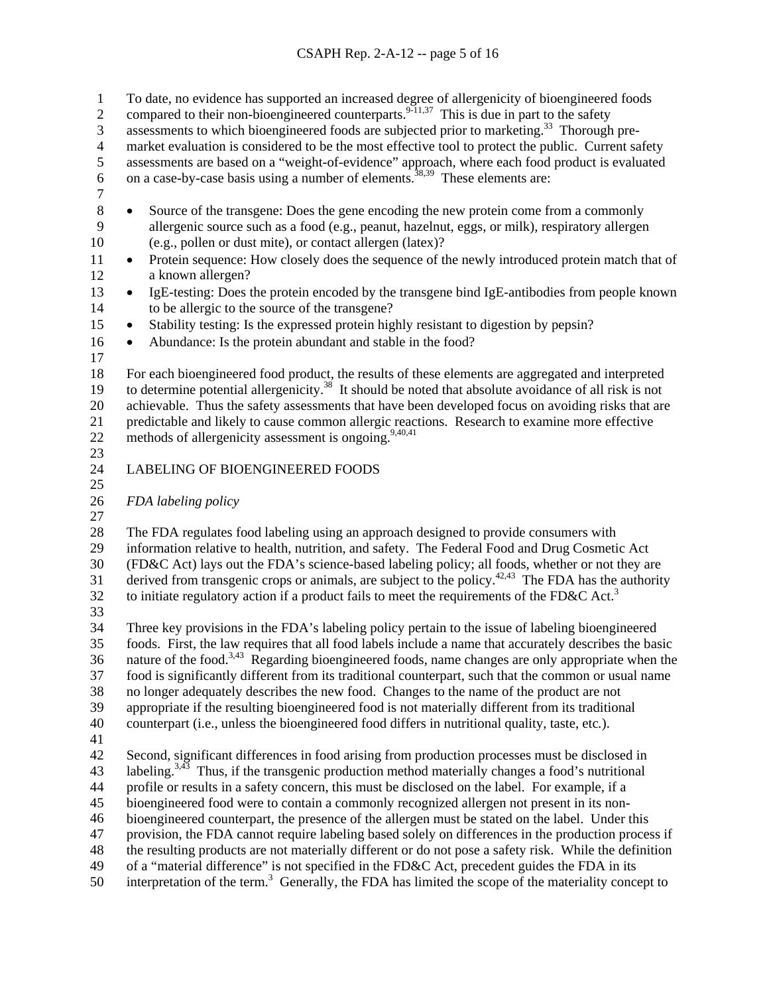- To date, no evidence has supported an increased degree of allergenicity of bioengineered foods 1
- compared to their non-bioengineered counterparts.<sup>9-11,37</sup> This is due in part to the safety 2
- assessments to which bioengineered foods are subjected prior to marketing.<sup>33</sup> Thorough pre-3
- market evaluation is considered to be the most effective tool to protect the public. Current safety 4
- assessments are based on a "weight-of-evidence" approach, where each food product is evaluated 5
- on a case-by-case basis using a number of elements.<sup>38,39</sup> These elements are: 6
- 7
- 10 8 • Source of the transgene: Does the gene encoding the new protein come from a commonly allergenic source such as a food (e.g., peanut, hazelnut, eggs, or milk), respiratory allergen 9 allergenic source such as a food (e.g., peanut, hazelnut, eggs, or milk), respiratory allergen (e.g., pollen or dust mite), or contact allergen (latex)?
- 12 11 • Protein sequence: How closely does the sequence of the newly introduced protein match that of a known allergen?
- 14 13 • IgE-testing: Does the protein encoded by the transgene bind IgE-antibodies from people known to be allergic to the source of the transgene?
- 15 Stability testing: Is the expressed protein highly resistant to digestion by pepsin?
- 16 Abundance: Is the protein abundant and stable in the food?
- 17
- 18 19 20 21 22 For each bioengineered food product, the results of these elements are aggregated and interpreted to determine potential allergenicity.<sup>38</sup> It should be noted that absolute avoidance of all risk is not achievable. Thus the safety assessments that have been developed focus on avoiding risks that are predictable and likely to cause common allergic reactions. Research to examine more effective methods of allergenicity assessment is ongoing. $9,40,41$
- 23

# LABELING OF BIOENGINEERED FOODS

- 24 25
- 26 *FDA labeling policy*
- 27

28 29 30 31 The FDA regulates food labeling using an approach designed to provide consumers with information relative to health, nutrition, and safety. The Federal Food and Drug Cosmetic Act (FD&C Act) lays out the FDA's science-based labeling policy; all foods, whether or not they are derived from transgenic crops or animals, are subject to the policy.<sup>42,43</sup> The FDA has the authority to initiate regulatory action if a product fails to meet the requirements of the FD&C Act.<sup>3</sup>

32 33

34 35 36 37 38 39 40 Three key provisions in the FDA's labeling policy pertain to the issue of labeling bioengineered foods. First, the law requires that all food labels include a name that accurately describes the basic nature of the food.<sup>3,43</sup> Regarding bioengineered foods, name changes are only appropriate when the food is significantly different from its traditional counterpart, such that the common or usual name no longer adequately describes the new food. Changes to the name of the product are not appropriate if the resulting bioengineered food is not materially different from its traditional counterpart (i.e., unless the bioengineered food differs in nutritional quality, taste, etc*.*).

41

42 43 44 45 46 47 48 49 50 Second, significant differences in food arising from production processes must be disclosed in labeling.<sup>3,43</sup> Thus, if the transgenic production method materially changes a food's nutritional profile or results in a safety concern, this must be disclosed on the label. For example, if a bioengineered food were to contain a commonly recognized allergen not present in its nonbioengineered counterpart, the presence of the allergen must be stated on the label. Under this provision, the FDA cannot require labeling based solely on differences in the production process if the resulting products are not materially different or do not pose a safety risk. While the definition of a "material difference" is not specified in the FD&C Act, precedent guides the FDA in its interpretation of the term.<sup>3</sup> Generally, the FDA has limited the scope of the materiality concept to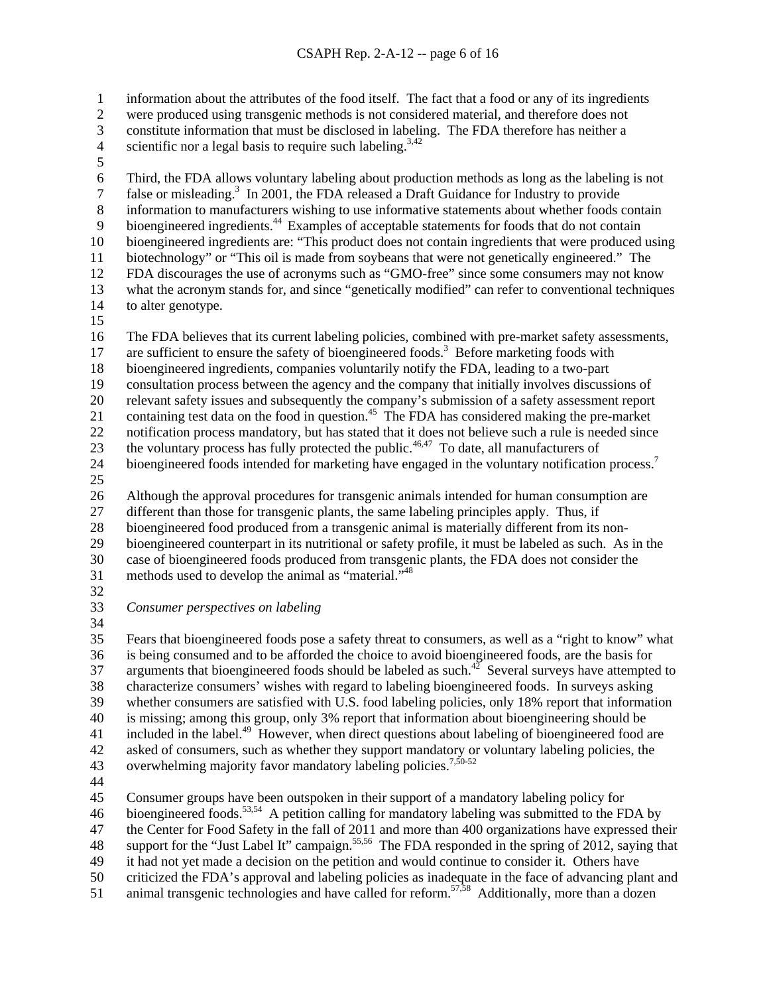information about the attributes of the food itself. The fact that a food or any of its ingredients 1

were produced using transgenic methods is not considered material, and therefore does not 2

constitute information that must be disclosed in labeling. The FDA therefore has neither a 3

- scientific nor a legal basis to require such labeling.<sup>3,42</sup> 4
- 5

6 7 8 9 10 11 12 13 14 15 16 17 Third, the FDA allows voluntary labeling about production methods as long as the labeling is not false or misleading.<sup>3</sup> In 2001, the FDA released a Draft Guidance for Industry to provide information to manufacturers wishing to use informative statements about whether foods contain bioengineered ingredients.<sup>44</sup> Examples of acceptable statements for foods that do not contain bioengineered ingredients are: "This product does not contain ingredients that were produced using biotechnology" or "This oil is made from soybeans that were not genetically engineered." The FDA discourages the use of acronyms such as "GMO-free" since some consumers may not know what the acronym stands for, and since "genetically modified" can refer to conventional techniques to alter genotype. The FDA believes that its current labeling policies, combined with pre-market safety assessments, are sufficient to ensure the safety of bioengineered foods.<sup>3</sup> Before marketing foods with

18 bioengineered ingredients, companies voluntarily notify the FDA, leading to a two-part

19 consultation process between the agency and the company that initially involves discussions of

20 relevant safety issues and subsequently the company's submission of a safety assessment report

21 containing test data on the food in question.<sup>45</sup> The FDA has considered making the pre-market

22 notification process mandatory, but has stated that it does not believe such a rule is needed since

23 the voluntary process has fully protected the public.<sup>46,47</sup> To date, all manufacturers of

24 bioengineered foods intended for marketing have engaged in the voluntary notification process.<sup>7</sup>

25

26 Although the approval procedures for transgenic animals intended for human consumption are

27 different than those for transgenic plants, the same labeling principles apply. Thus, if

28 bioengineered food produced from a transgenic animal is materially different from its non-

29 bioengineered counterpart in its nutritional or safety profile, it must be labeled as such. As in the

30 case of bioengineered foods produced from transgenic plants, the FDA does not consider the

- 31 methods used to develop the animal as "material."48
- 32
- 33 *Consumer perspectives on labeling*
- 34

35 36 37 38 39 40 41 42 43 Fears that bioengineered foods pose a safety threat to consumers, as well as a "right to know" what is being consumed and to be afforded the choice to avoid bioengineered foods, are the basis for arguments that bioengineered foods should be labeled as such.<sup>42</sup> Several surveys have attempted to characterize consumers' wishes with regard to labeling bioengineered foods. In surveys asking whether consumers are satisfied with U.S. food labeling policies, only 18% report that information is missing; among this group, only 3% report that information about bioengineering should be included in the label.<sup>49</sup> However, when direct questions about labeling of bioengineered food are asked of consumers, such as whether they support mandatory or voluntary labeling policies, the overwhelming majority favor mandatory labeling policies.<sup>7,50-52</sup>

44

45 Consumer groups have been outspoken in their support of a mandatory labeling policy for

46 bioengineered foods.<sup>53,54</sup> A petition calling for mandatory labeling was submitted to the FDA by

47 the Center for Food Safety in the fall of 2011 and more than 400 organizations have expressed their

48 support for the "Just Label It" campaign.<sup>55,56</sup> The FDA responded in the spring of 2012, saying that

49 it had not yet made a decision on the petition and would continue to consider it. Others have

50 criticized the FDA's approval and labeling policies as inadequate in the face of advancing plant and

51 animal transgenic technologies and have called for reform.<sup>57,58</sup> Additionally, more than a dozen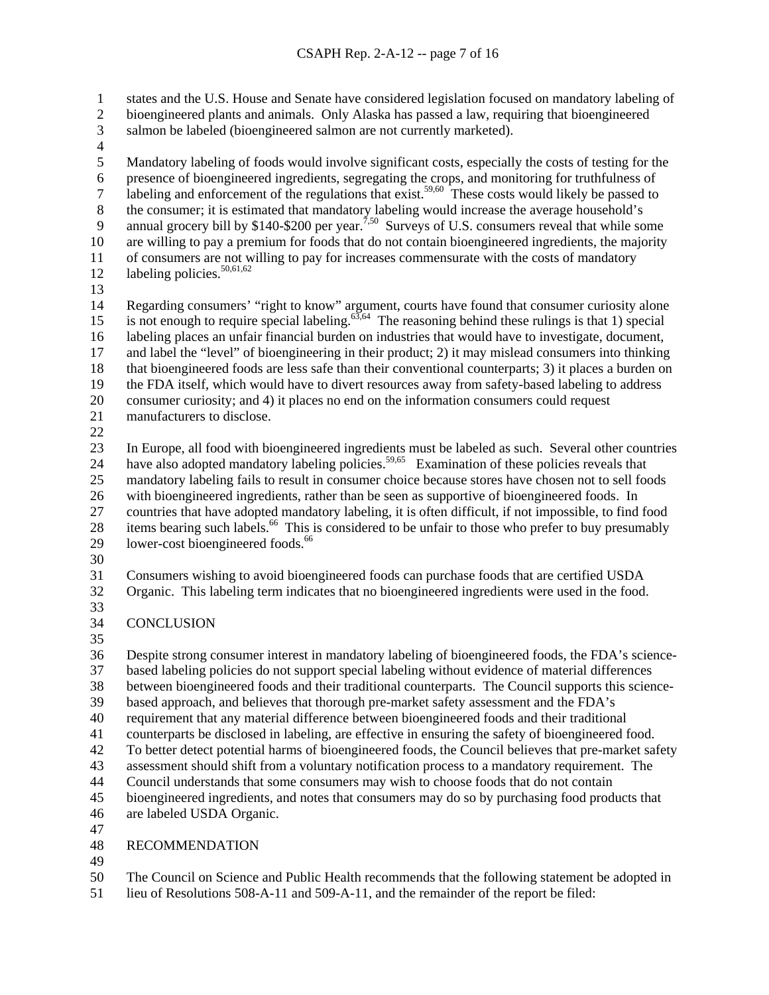states and the U.S. House and Senate have considered legislation focused on mandatory labeling of bioengineered plants and animals. Only Alaska has passed a law, requiring that bioengineered 1 2

- salmon be labeled (bioengineered salmon are not currently marketed). 3
- 4

5 6 7 8 9 10 11 12 Mandatory labeling of foods would involve significant costs, especially the costs of testing for the presence of bioengineered ingredients, segregating the crops, and monitoring for truthfulness of labeling and enforcement of the regulations that exist.<sup>59,60</sup> These costs would likely be passed to the consumer; it is estimated that mandatory labeling would increase the average household's annual grocery bill by \$140-\$200 per year.<sup>7,50</sup> Surveys of U.S. consumers reveal that while some are willing to pay a premium for foods that do not contain bioengineered ingredients, the majority of consumers are not willing to pay for increases commensurate with the costs of mandatory labeling policies.<sup>50,61,62</sup>

13

14 15 16 17 18 19 20 21 Regarding consumers' "right to know" argument, courts have found that consumer curiosity alone is not enough to require special labeling.63,64 The reasoning behind these rulings is that 1) special labeling places an unfair financial burden on industries that would have to investigate, document, and label the "level" of bioengineering in their product; 2) it may mislead consumers into thinking that bioengineered foods are less safe than their conventional counterparts; 3) it places a burden on the FDA itself, which would have to divert resources away from safety-based labeling to address consumer curiosity; and 4) it places no end on the information consumers could request manufacturers to disclose.

22

23 24 25 26 27 28 29 In Europe, all food with bioengineered ingredients must be labeled as such. Several other countries have also adopted mandatory labeling policies.<sup>59,65</sup> Examination of these policies reveals that mandatory labeling fails to result in consumer choice because stores have chosen not to sell foods with bioengineered ingredients, rather than be seen as supportive of bioengineered foods. In countries that have adopted mandatory labeling, it is often difficult, if not impossible, to find food items bearing such labels.<sup>66</sup> This is considered to be unfair to those who prefer to buy presumably lower-cost bioengineered foods.<sup>66</sup>

30

31 Consumers wishing to avoid bioengineered foods can purchase foods that are certified USDA

32 Organic. This labeling term indicates that no bioengineered ingredients were used in the food.

33

34 **CONCLUSION** 

35

36 37 38 39 40 41 42 43 44 45 Despite strong consumer interest in mandatory labeling of bioengineered foods, the FDA's sciencebased labeling policies do not support special labeling without evidence of material differences between bioengineered foods and their traditional counterparts. The Council supports this sciencebased approach, and believes that thorough pre-market safety assessment and the FDA's requirement that any material difference between bioengineered foods and their traditional counterparts be disclosed in labeling, are effective in ensuring the safety of bioengineered food. To better detect potential harms of bioengineered foods, the Council believes that pre-market safety assessment should shift from a voluntary notification process to a mandatory requirement. The Council understands that some consumers may wish to choose foods that do not contain bioengineered ingredients, and notes that consumers may do so by purchasing food products that are labeled USDA Organic.

46 47

#### 48 RECOMMENDATION

49

50 The Council on Science and Public Health recommends that the following statement be adopted in

51 lieu of Resolutions 508-A-11 and 509-A-11, and the remainder of the report be filed: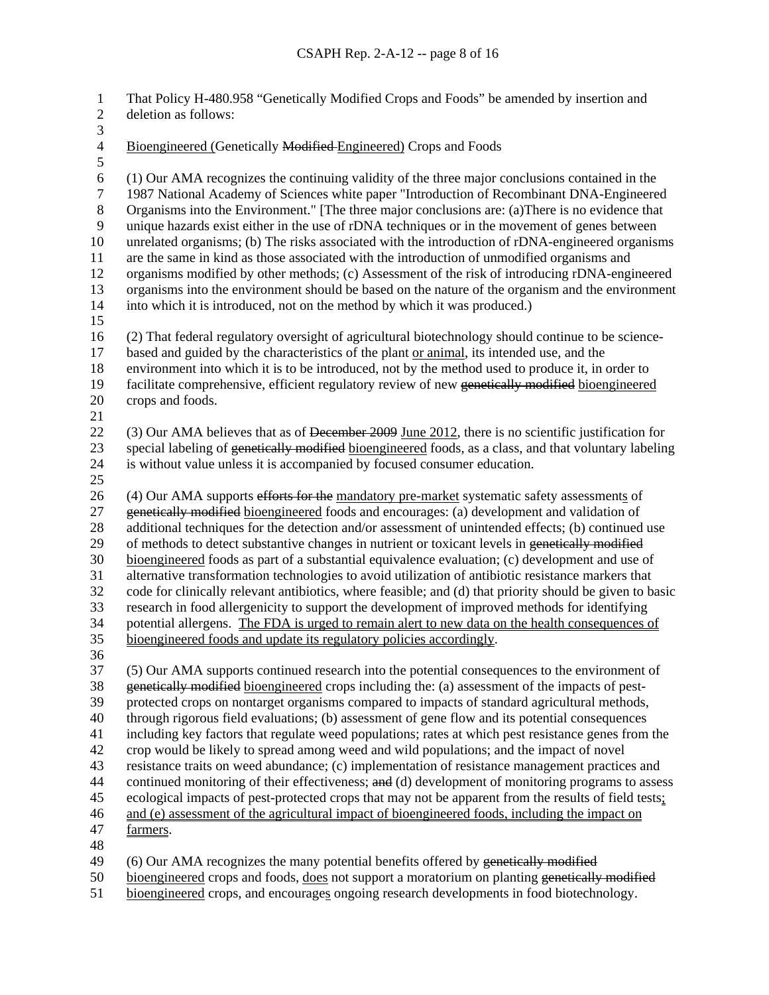That Policy H-480.958 "Genetically Modified Crops and Foods" be amended by insertion and deletion as follows: 1 2  $\frac{3}{4}$ 4 Bioengineered (Genetically Modified Engineered) Crops and Foods 5 6 7 8 9 10 11 12 13 14 15 16 (1) Our AMA recognizes the continuing validity of the three major conclusions contained in the 1987 National Academy of Sciences white paper "Introduction of Recombinant DNA-Engineered Organisms into the Environment." [The three major conclusions are: (a)There is no evidence that unique hazards exist either in the use of rDNA techniques or in the movement of genes between unrelated organisms; (b) The risks associated with the introduction of rDNA-engineered organisms are the same in kind as those associated with the introduction of unmodified organisms and organisms modified by other methods; (c) Assessment of the risk of introducing rDNA-engineered organisms into the environment should be based on the nature of the organism and the environment into which it is introduced, not on the method by which it was produced.) (2) That federal regulatory oversight of agricultural biotechnology should continue to be sciencebased and guided by the characteristics of the plant or animal, its intended use, and the environment into which it is to be introduced, not by the method used to produce it, in order to facilitate comprehensive, efficient regulatory review of new genetically modified bioengineered 17 18 crops and foods. 19 20 21 (3) Our AMA believes that as of December 2009 June 2012, there is no scientific justification for special labeling of genetically modified bioengineered foods, as a class, and that voluntary labeling 22 is without value unless it is accompanied by focused consumer education. 23 24 25 (4) Our AMA supports efforts for the mandatory pre-market systematic safety assessments of genetically modified bioengineered foods and encourages: (a) development and validation of 26 additional techniques for the detection and/or assessment of unintended effects; (b) continued use 29 of methods to detect substantive changes in nutrient or toxicant levels in genetically modified 27 28 bioengineered foods as part of a substantial equivalence evaluation; (c) development and use of alternative transformation technologies to avoid utilization of antibiotic resistance markers that code for clinically relevant antibiotics, where feasible; and (d) that priority should be given to basic research in food allergenicity to support the development of improved methods for identifying potential allergens. The FDA is urged to remain alert to new data on the health consequences of 30 31 32 33 34 35 bioengineered foods and update its regulatory policies accordingly. 36 37 (5) Our AMA supports continued research into the potential consequences to the environment of genetically modified bioengineered crops including the: (a) assessment of the impacts of pestprotected crops on nontarget organisms compared to impacts of standard agricultural methods, through rigorous field evaluations; (b) assessment of gene flow and its potential consequences including key factors that regulate weed populations; rates at which pest resistance genes from the crop would be likely to spread among weed and wild populations; and the impact of novel resistance traits on weed abundance; (c) implementation of resistance management practices and continued monitoring of their effectiveness; and (d) development of monitoring programs to assess 38 39 40 41 42 43 ecological impacts of pest-protected crops that may not be apparent from the results of field tests; 44 45 46 and (e) assessment of the agricultural impact of bioengineered foods, including the impact on 47 farmers. 48

- 49 (6) Our AMA recognizes the many potential benefits offered by genetically modified
- 50 bioengineered crops and foods, does not support a moratorium on planting genetically modified
- 51 bioengineered crops, and encourages ongoing research developments in food biotechnology.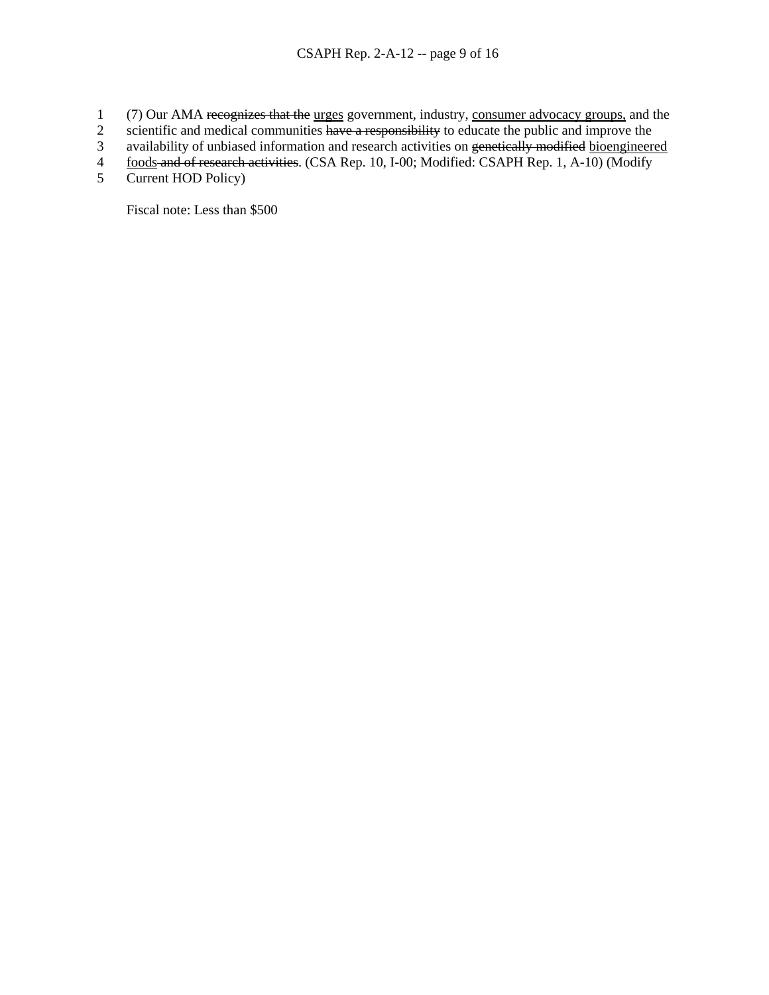- (7) Our AMA recognizes that the urges government, industry, consumer advocacy groups, and the 1
- scientific and medical communities have a responsibility to educate the public and improve the 2
- availability of unbiased information and research activities on genetically modified bioengineered 3
- foods and of research activities. (CSA Rep. 10, I-00; Modified: CSAPH Rep. 1, A-10) (Modify 4
- Current HOD Policy) 5

Fiscal note: Less than \$500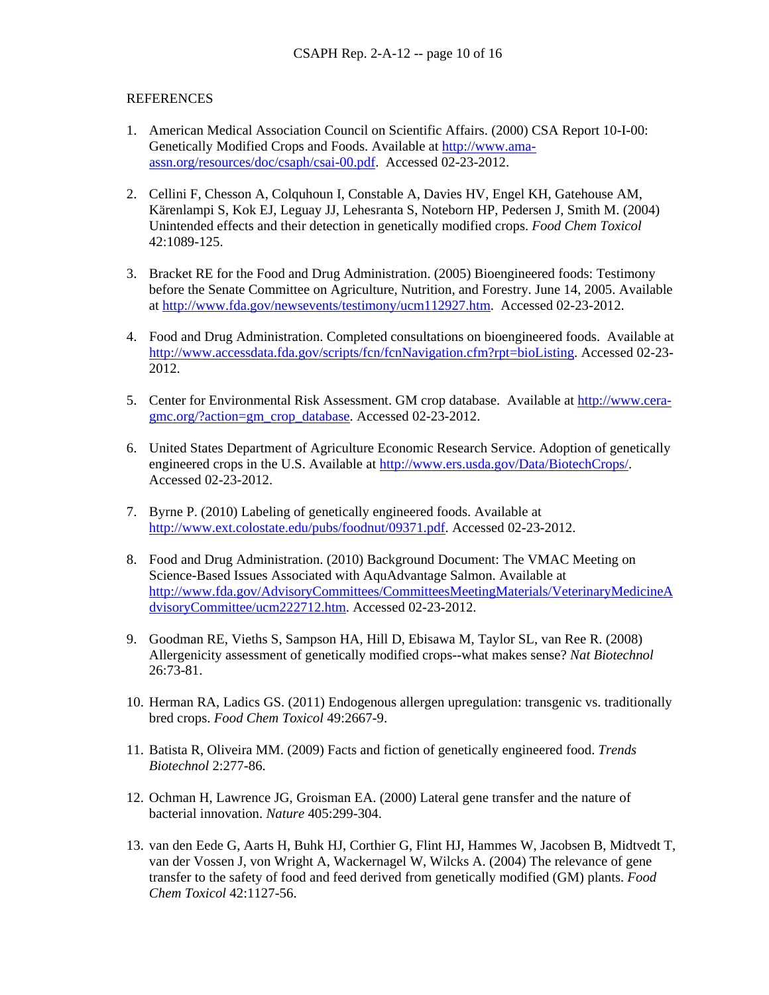### **REFERENCES**

- 1. American Medical Association Council on Scientific Affairs. (2000) CSA Report 10-I-00: Genetically Modified Crops and Foods. Available at [http://www.ama](http://www.ama-assn.org/resources/doc/csaph/csai-00.pdf)[assn.org/resources/doc/csaph/csai-00.pdf.](http://www.ama-assn.org/resources/doc/csaph/csai-00.pdf) Accessed 02-23-2012.
- 2. Cellini F, Chesson A, Colquhoun I, Constable A, Davies HV, Engel KH, Gatehouse AM, Kärenlampi S, Kok EJ, Leguay JJ, Lehesranta S, Noteborn HP, Pedersen J, Smith M. (2004) Unintended effects and their detection in genetically modified crops. *Food Chem Toxicol* 42:1089-125.
- 3. Bracket RE for the Food and Drug Administration. (2005) Bioengineered foods: Testimony before the Senate Committee on Agriculture, Nutrition, and Forestry. June 14, 2005. Available at [http://www.fda.gov/newsevents/testimony/ucm112927.htm.](http://www.fda.gov/newsevents/testimony/ucm112927.htm) Accessed 02-23-2012.
- 4. Food and Drug Administration. Completed consultations on bioengineered foods. Available at <http://www.accessdata.fda.gov/scripts/fcn/fcnNavigation.cfm?rpt=bioListing>. Accessed 02-23- 2012.
- 5. Center for Environmental Risk Assessment. GM crop database. Available at [http://www.cera](http://www.cera-gmc.org/?action=gm_crop_database)[gmc.org/?action=gm\\_crop\\_database.](http://www.cera-gmc.org/?action=gm_crop_database) Accessed 02-23-2012.
- 6. United States Department of Agriculture Economic Research Service. Adoption of genetically engineered crops in the U.S. Available at [http://www.ers.usda.gov/Data/BiotechCrops/.](http://www.ers.usda.gov/Data/BiotechCrops/) Accessed 02-23-2012.
- 7. Byrne P. (2010) Labeling of genetically engineered foods. Available at [http://www.ext.colostate.edu/pubs/foodnut/09371.pdf.](http://www.ext.colostate.edu/pubs/foodnut/09371.pdf) Accessed 02-23-2012.
- 8. Food and Drug Administration. (2010) Background Document: The VMAC Meeting on Science-Based Issues Associated with AquAdvantage Salmon. Available at [http://www.fda.gov/AdvisoryCommittees/CommitteesMeetingMaterials/VeterinaryMedicineA](http://www.fda.gov/AdvisoryCommittees/CommitteesMeetingMaterials/VeterinaryMedicineAdvisoryCommittee/ucm222712.htm) [dvisoryCommittee/ucm222712.htm.](http://www.fda.gov/AdvisoryCommittees/CommitteesMeetingMaterials/VeterinaryMedicineAdvisoryCommittee/ucm222712.htm) Accessed 02-23-2012.
- 9. Goodman RE, Vieths S, Sampson HA, Hill D, Ebisawa M, Taylor SL, van Ree R. (2008) Allergenicity assessment of genetically modified crops--what makes sense? *Nat Biotechnol* 26:73-81.
- 10. Herman RA, Ladics GS. (2011) Endogenous allergen upregulation: transgenic vs. traditionally bred crops. *Food Chem Toxicol* 49:2667-9.
- 11. Batista R, Oliveira MM. (2009) Facts and fiction of genetically engineered food. *Trends Biotechnol* 2:277-86.
- 12. Ochman H, Lawrence JG, Groisman EA. (2000) Lateral gene transfer and the nature of bacterial innovation. *Nature* 405:299-304.
- 13. van den Eede G, Aarts H, Buhk HJ, Corthier G, Flint HJ, Hammes W, Jacobsen B, Midtvedt T, van der Vossen J, von Wright A, Wackernagel W, Wilcks A. (2004) The relevance of gene transfer to the safety of food and feed derived from genetically modified (GM) plants. *Food Chem Toxicol* 42:1127-56.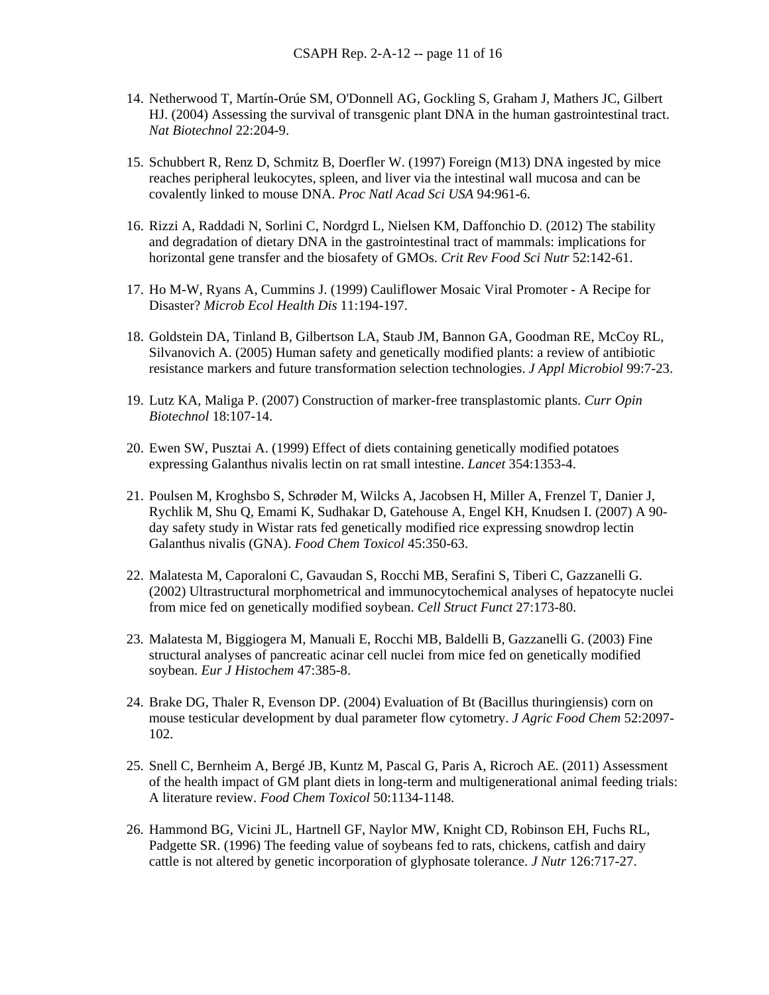- 14. Netherwood T, Martín-Orúe SM, O'Donnell AG, Gockling S, Graham J, Mathers JC, Gilbert HJ. (2004) Assessing the survival of transgenic plant DNA in the human gastrointestinal tract. *Nat Biotechnol* 22:204-9.
- 15. Schubbert R, Renz D, Schmitz B, Doerfler W. (1997) Foreign (M13) DNA ingested by mice reaches peripheral leukocytes, spleen, and liver via the intestinal wall mucosa and can be covalently linked to mouse DNA. *Proc Natl Acad Sci USA* 94:961-6.
- 16. Rizzi A, Raddadi N, Sorlini C, Nordgrd L, Nielsen KM, Daffonchio D. (2012) The stability and degradation of dietary DNA in the gastrointestinal tract of mammals: implications for horizontal gene transfer and the biosafety of GMOs. *Crit Rev Food Sci Nutr* 52:142-61.
- 17. Ho M-W, Ryans A, Cummins J. (1999) Cauliflower Mosaic Viral Promoter A Recipe for Disaster? *Microb Ecol Health Dis* 11:194-197.
- 18. Goldstein DA, Tinland B, Gilbertson LA, Staub JM, Bannon GA, Goodman RE, McCoy RL, Silvanovich A. (2005) Human safety and genetically modified plants: a review of antibiotic resistance markers and future transformation selection technologies. *J Appl Microbiol* 99:7-23.
- 19. Lutz KA, Maliga P. (2007) Construction of marker-free transplastomic plants. *Curr Opin Biotechnol* 18:107-14.
- 20. Ewen SW, Pusztai A. (1999) Effect of diets containing genetically modified potatoes expressing Galanthus nivalis lectin on rat small intestine. *Lancet* 354:1353-4.
- 21. Poulsen M, Kroghsbo S, Schrøder M, Wilcks A, Jacobsen H, Miller A, Frenzel T, Danier J, Rychlik M, Shu Q, Emami K, Sudhakar D, Gatehouse A, Engel KH, Knudsen I. (2007) A 90 day safety study in Wistar rats fed genetically modified rice expressing snowdrop lectin Galanthus nivalis (GNA). *Food Chem Toxicol* 45:350-63.
- 22. Malatesta M, Caporaloni C, Gavaudan S, Rocchi MB, Serafini S, Tiberi C, Gazzanelli G. (2002) Ultrastructural morphometrical and immunocytochemical analyses of hepatocyte nuclei from mice fed on genetically modified soybean. *Cell Struct Funct* 27:173-80.
- 23. Malatesta M, Biggiogera M, Manuali E, Rocchi MB, Baldelli B, Gazzanelli G. (2003) Fine structural analyses of pancreatic acinar cell nuclei from mice fed on genetically modified soybean. *Eur J Histochem* 47:385-8.
- 24. Brake DG, Thaler R, Evenson DP. (2004) Evaluation of Bt (Bacillus thuringiensis) corn on mouse testicular development by dual parameter flow cytometry. *J Agric Food Chem* 52:2097- 102.
- 25. Snell C, Bernheim A, Bergé JB, Kuntz M, Pascal G, Paris A, Ricroch AE. (2011) Assessment of the health impact of GM plant diets in long-term and multigenerational animal feeding trials: A literature review. *Food Chem Toxicol* 50:1134-1148.
- 26. Hammond BG, Vicini JL, Hartnell GF, Naylor MW, Knight CD, Robinson EH, Fuchs RL, Padgette SR. (1996) The feeding value of soybeans fed to rats, chickens, catfish and dairy cattle is not altered by genetic incorporation of glyphosate tolerance. *J Nutr* 126:717-27.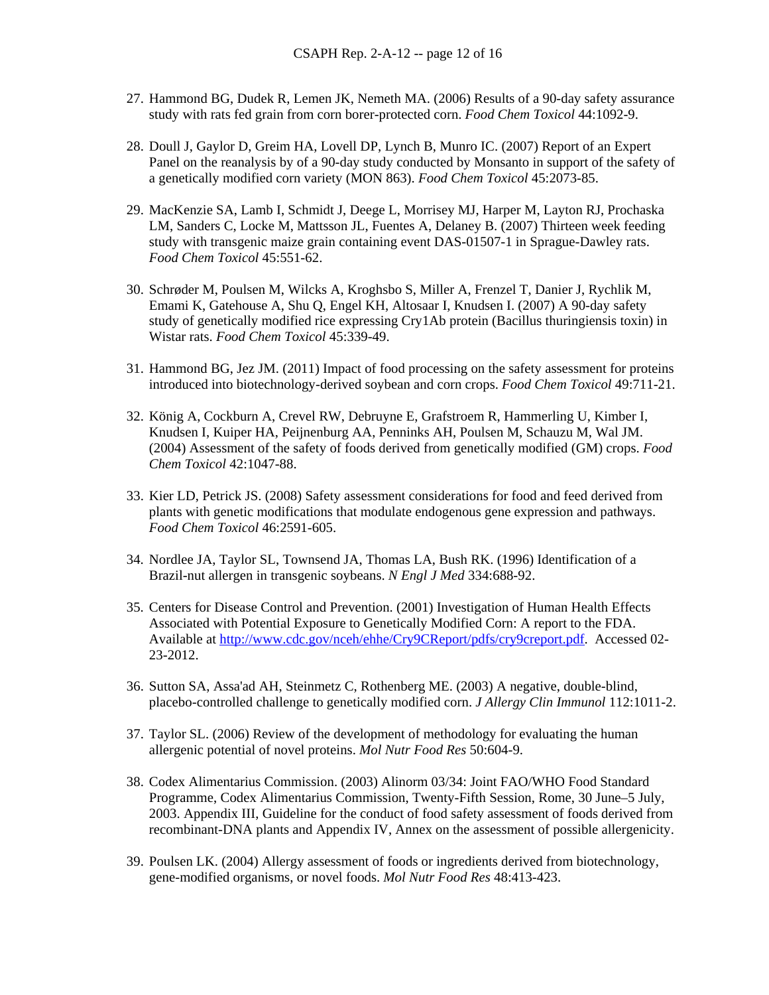- 27. Hammond BG, Dudek R, Lemen JK, Nemeth MA. (2006) Results of a 90-day safety assurance study with rats fed grain from corn borer-protected corn. *Food Chem Toxicol* 44:1092-9.
- 28. Doull J, Gaylor D, Greim HA, Lovell DP, Lynch B, Munro IC. (2007) Report of an Expert Panel on the reanalysis by of a 90-day study conducted by Monsanto in support of the safety of a genetically modified corn variety (MON 863). *Food Chem Toxicol* 45:2073-85.
- 29. MacKenzie SA, Lamb I, Schmidt J, Deege L, Morrisey MJ, Harper M, Layton RJ, Prochaska LM, Sanders C, Locke M, Mattsson JL, Fuentes A, Delaney B. (2007) Thirteen week feeding study with transgenic maize grain containing event DAS-01507-1 in Sprague-Dawley rats. *Food Chem Toxicol* 45:551-62.
- 30. Schrøder M, Poulsen M, Wilcks A, Kroghsbo S, Miller A, Frenzel T, Danier J, Rychlik M, Emami K, Gatehouse A, Shu Q, Engel KH, Altosaar I, Knudsen I. (2007) A 90-day safety study of genetically modified rice expressing Cry1Ab protein (Bacillus thuringiensis toxin) in Wistar rats. *Food Chem Toxicol* 45:339-49.
- 31. Hammond BG, Jez JM. (2011) Impact of food processing on the safety assessment for proteins introduced into biotechnology-derived soybean and corn crops. *Food Chem Toxicol* 49:711-21.
- 32. König A, Cockburn A, Crevel RW, Debruyne E, Grafstroem R, Hammerling U, Kimber I, Knudsen I, Kuiper HA, Peijnenburg AA, Penninks AH, Poulsen M, Schauzu M, Wal JM. (2004) Assessment of the safety of foods derived from genetically modified (GM) crops. *Food Chem Toxicol* 42:1047-88.
- 33. Kier LD, Petrick JS. (2008) Safety assessment considerations for food and feed derived from plants with genetic modifications that modulate endogenous gene expression and pathways. *Food Chem Toxicol* 46:2591-605.
- 34. Nordlee JA, Taylor SL, Townsend JA, Thomas LA, Bush RK. (1996) Identification of a Brazil-nut allergen in transgenic soybeans. *N Engl J Med* 334:688-92.
- 35. Centers for Disease Control and Prevention. (2001) Investigation of Human Health Effects Associated with Potential Exposure to Genetically Modified Corn: A report to the FDA. Available at [http://www.cdc.gov/nceh/ehhe/Cry9CReport/pdfs/cry9creport.pdf.](http://www.cdc.gov/nceh/ehhe/Cry9CReport/pdfs/cry9creport.pdf) Accessed 02- 23-2012.
- 36. Sutton SA, Assa'ad AH, Steinmetz C, Rothenberg ME. (2003) A negative, double-blind, placebo-controlled challenge to genetically modified corn. *J Allergy Clin Immunol* 112:1011-2.
- 37. Taylor SL. (2006) Review of the development of methodology for evaluating the human allergenic potential of novel proteins. *Mol Nutr Food Res* 50:604-9.
- 38. Codex Alimentarius Commission. (2003) Alinorm 03/34: Joint FAO/WHO Food Standard Programme, Codex Alimentarius Commission, Twenty-Fifth Session, Rome, 30 June–5 July, 2003. Appendix III, Guideline for the conduct of food safety assessment of foods derived from recombinant-DNA plants and Appendix IV, Annex on the assessment of possible allergenicity.
- 39. Poulsen LK. (2004) Allergy assessment of foods or ingredients derived from biotechnology, gene-modified organisms, or novel foods. *Mol Nutr Food Res* 48:413-423.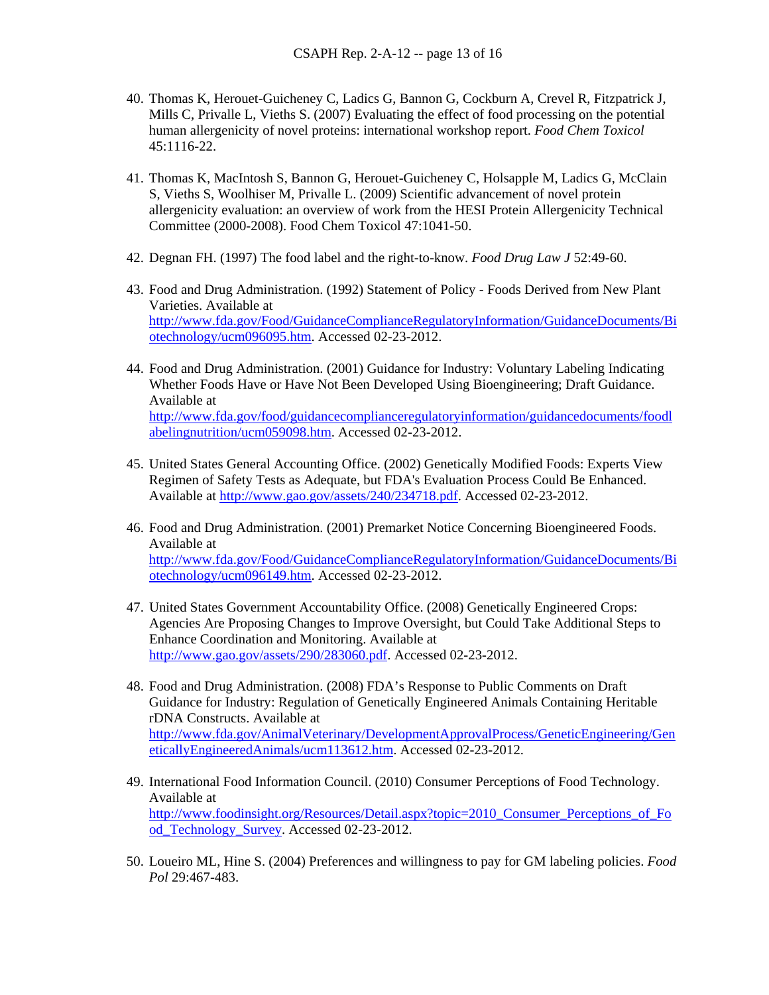- 40. Thomas K, Herouet-Guicheney C, Ladics G, Bannon G, Cockburn A, Crevel R, Fitzpatrick J, Mills C, Privalle L, Vieths S. (2007) Evaluating the effect of food processing on the potential human allergenicity of novel proteins: international workshop report. *Food Chem Toxicol* 45:1116-22.
- 41. Thomas K, MacIntosh S, Bannon G, Herouet-Guicheney C, Holsapple M, Ladics G, McClain S, Vieths S, Woolhiser M, Privalle L. (2009) Scientific advancement of novel protein allergenicity evaluation: an overview of work from the HESI Protein Allergenicity Technical Committee (2000-2008). Food Chem Toxicol 47:1041-50.
- 42. Degnan FH. (1997) The food label and the right-to-know. *Food Drug Law J* 52:49-60.
- 43. Food and Drug Administration. (1992) Statement of Policy Foods Derived from New Plant Varieties. Available at [http://www.fda.gov/Food/GuidanceComplianceRegulatoryInformation/GuidanceDocuments/Bi](http://www.fda.gov/Food/GuidanceComplianceRegulatoryInformation/GuidanceDocuments/Biotechnology/ucm096095.htm) [otechnology/ucm096095.htm.](http://www.fda.gov/Food/GuidanceComplianceRegulatoryInformation/GuidanceDocuments/Biotechnology/ucm096095.htm) Accessed 02-23-2012.
- 44. Food and Drug Administration. (2001) Guidance for Industry: Voluntary Labeling Indicating Whether Foods Have or Have Not Been Developed Using Bioengineering; Draft Guidance. Available at [http://www.fda.gov/food/guidancecomplianceregulatoryinformation/guidancedocuments/foodl](http://www.fda.gov/food/guidancecomplianceregulatoryinformation/guidancedocuments/foodlabelingnutrition/ucm059098.htm)

[abelingnutrition/ucm059098.htm.](http://www.fda.gov/food/guidancecomplianceregulatoryinformation/guidancedocuments/foodlabelingnutrition/ucm059098.htm) Accessed 02-23-2012.

- 45. United States General Accounting Office. (2002) Genetically Modified Foods: Experts View Regimen of Safety Tests as Adequate, but FDA's Evaluation Process Could Be Enhanced. Available at [http://www.gao.gov/assets/240/234718.pdf.](http://www.gao.gov/assets/240/234718.pdf) Accessed 02-23-2012.
- 46. Food and Drug Administration. (2001) Premarket Notice Concerning Bioengineered Foods. Available at [http://www.fda.gov/Food/GuidanceComplianceRegulatoryInformation/GuidanceDocuments/Bi](http://www.fda.gov/Food/GuidanceComplianceRegulatoryInformation/GuidanceDocuments/Biotechnology/ucm096149.htm) [otechnology/ucm096149.htm.](http://www.fda.gov/Food/GuidanceComplianceRegulatoryInformation/GuidanceDocuments/Biotechnology/ucm096149.htm) Accessed 02-23-2012.
- 47. United States Government Accountability Office. (2008) Genetically Engineered Crops: Agencies Are Proposing Changes to Improve Oversight, but Could Take Additional Steps to Enhance Coordination and Monitoring. Available at [http://www.gao.gov/assets/290/283060.pdf.](http://www.gao.gov/assets/290/283060.pdf) Accessed 02-23-2012.
- 48. Food and Drug Administration. (2008) FDA's Response to Public Comments on Draft Guidance for Industry: Regulation of Genetically Engineered Animals Containing Heritable rDNA Constructs. Available at [http://www.fda.gov/AnimalVeterinary/DevelopmentApprovalProcess/GeneticEngineering/Gen](http://www.fda.gov/AnimalVeterinary/DevelopmentApprovalProcess/GeneticEngineering/GeneticallyEngineeredAnimals/ucm113612.htm) [eticallyEngineeredAnimals/ucm113612.htm](http://www.fda.gov/AnimalVeterinary/DevelopmentApprovalProcess/GeneticEngineering/GeneticallyEngineeredAnimals/ucm113612.htm). Accessed 02-23-2012.
- 49. International Food Information Council. (2010) Consumer Perceptions of Food Technology. Available at [http://www.foodinsight.org/Resources/Detail.aspx?topic=2010\\_Consumer\\_Perceptions\\_of\\_Fo](http://www.foodinsight.org/Resources/Detail.aspx?topic=2010_Consumer_Perceptions_of_Food_Technology_Survey) [od\\_Technology\\_Survey](http://www.foodinsight.org/Resources/Detail.aspx?topic=2010_Consumer_Perceptions_of_Food_Technology_Survey). Accessed 02-23-2012.
- 50. Loueiro ML, Hine S. (2004) Preferences and willingness to pay for GM labeling policies. *Food Pol* 29:467-483.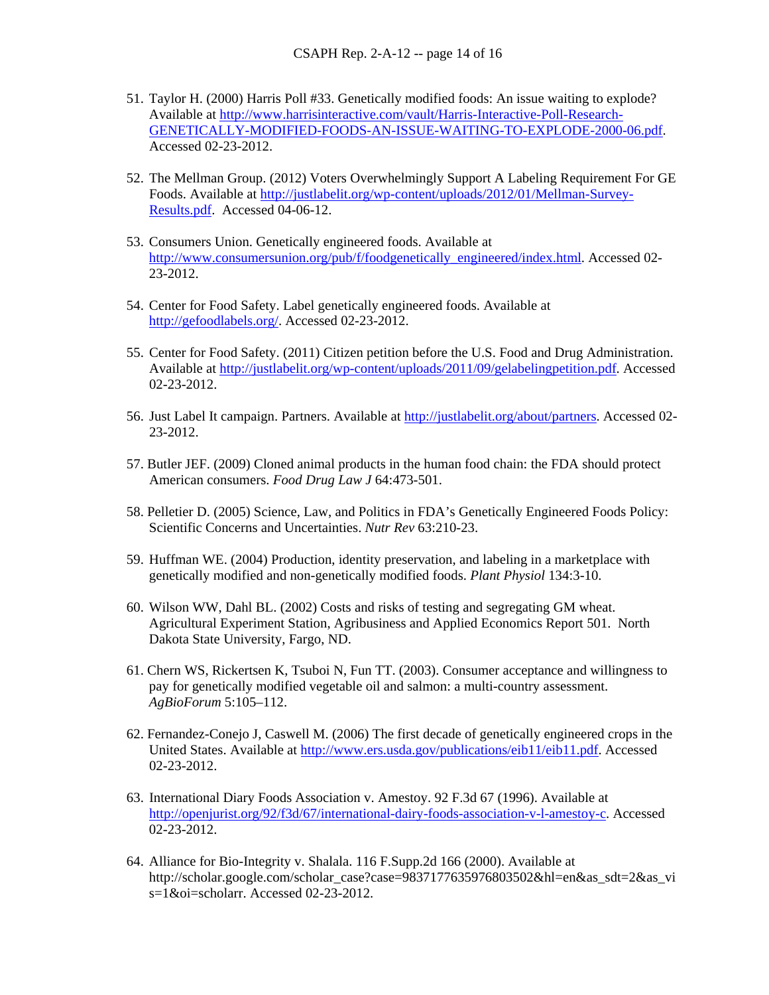- 51. Taylor H. (2000) Harris Poll #33. Genetically modified foods: An issue waiting to explode? Available at [http://www.harrisinteractive.com/vault/Harris-Interactive-Poll-Research-](http://www.harrisinteractive.com/vault/Harris-Interactive-Poll-Research-GENETICALLY-MODIFIED-FOODS-AN-ISSUE-WAITING-TO-EXPLODE-2000-06.pdf)[GENETICALLY-MODIFIED-FOODS-AN-ISSUE-WAITING-TO-EXPLODE-2000-06.pdf.](http://www.harrisinteractive.com/vault/Harris-Interactive-Poll-Research-GENETICALLY-MODIFIED-FOODS-AN-ISSUE-WAITING-TO-EXPLODE-2000-06.pdf) Accessed 02-23-2012.
- 52. The Mellman Group. (2012) Voters Overwhelmingly Support A Labeling Requirement For GE Foods. Available at [http://justlabelit.org/wp-content/uploads/2012/01/Mellman-Survey-](http://justlabelit.org/wp-content/uploads/2012/01/Mellman-Survey-Results.pdf)[Results.pdf.](http://justlabelit.org/wp-content/uploads/2012/01/Mellman-Survey-Results.pdf) Accessed 04-06-12.
- 53. Consumers Union. Genetically engineered foods. Available at [http://www.consumersunion.org/pub/f/foodgenetically\\_engineered/index.html](http://www.consumersunion.org/pub/f/foodgenetically_engineered/index.html). Accessed 02-23-2012.
- 54. Center for Food Safety. Label genetically engineered foods. Available at [http://gefoodlabels.org/.](http://gefoodlabels.org/) Accessed 02-23-2012.
- 55. Center for Food Safety. (2011) Citizen petition before the U.S. Food and Drug Administration. Available at [http://justlabelit.org/wp-content/uploads/2011/09/gelabelingpetition.pdf.](http://justlabelit.org/wp-content/uploads/2011/09/gelabelingpetition.pdf) Accessed 02-23-2012.
- 56. Just Label It campaign. Partners. Available at [http://justlabelit.org/about/partners.](http://justlabelit.org/about/partners) Accessed 02- 23-2012.
- 57. Butler JEF. (2009) Cloned animal products in the human food chain: the FDA should protect American consumers. *Food Drug Law J* 64:473-501.
- 58. Pelletier D. (2005) Science, Law, and Politics in FDA's Genetically Engineered Foods Policy: Scientific Concerns and Uncertainties. *Nutr Rev* 63:210-23.
- 59. Huffman WE. (2004) Production, identity preservation, and labeling in a marketplace with genetically modified and non-genetically modified foods. *Plant Physiol* 134:3-10.
- 60. Wilson WW, Dahl BL. (2002) Costs and risks of testing and segregating GM wheat. Agricultural Experiment Station, Agribusiness and Applied Economics Report 501. North Dakota State University, Fargo, ND.
- 61. Chern WS, Rickertsen K, Tsuboi N, Fun TT. (2003). Consumer acceptance and willingness to pay for genetically modified vegetable oil and salmon: a multi-country assessment. *AgBioForum* 5:105–112.
- 62. Fernandez-Conejo J, Caswell M. (2006) The first decade of genetically engineered crops in the United States. Available at [http://www.ers.usda.gov/publications/eib11/eib11.pdf.](http://www.ers.usda.gov/publications/eib11/eib11.pdf) Accessed 02-23-2012.
- 63. International Diary Foods Association v. Amestoy. 92 F.3d 67 (1996). Available at [http://openjurist.org/92/f3d/67/international-dairy-foods-association-v-l-amestoy-c.](http://openjurist.org/92/f3d/67/international-dairy-foods-association-v-l-amestoy-c) Accessed 02-23-2012.
- 64. Alliance for Bio-Integrity v. Shalala. 116 F.Supp.2d 166 (2000). Available at http://scholar.google.com/scholar\_case?case=9837177635976803502&hl=en&as\_sdt=2&as\_vi s=1&oi=scholarr. Accessed 02-23-2012.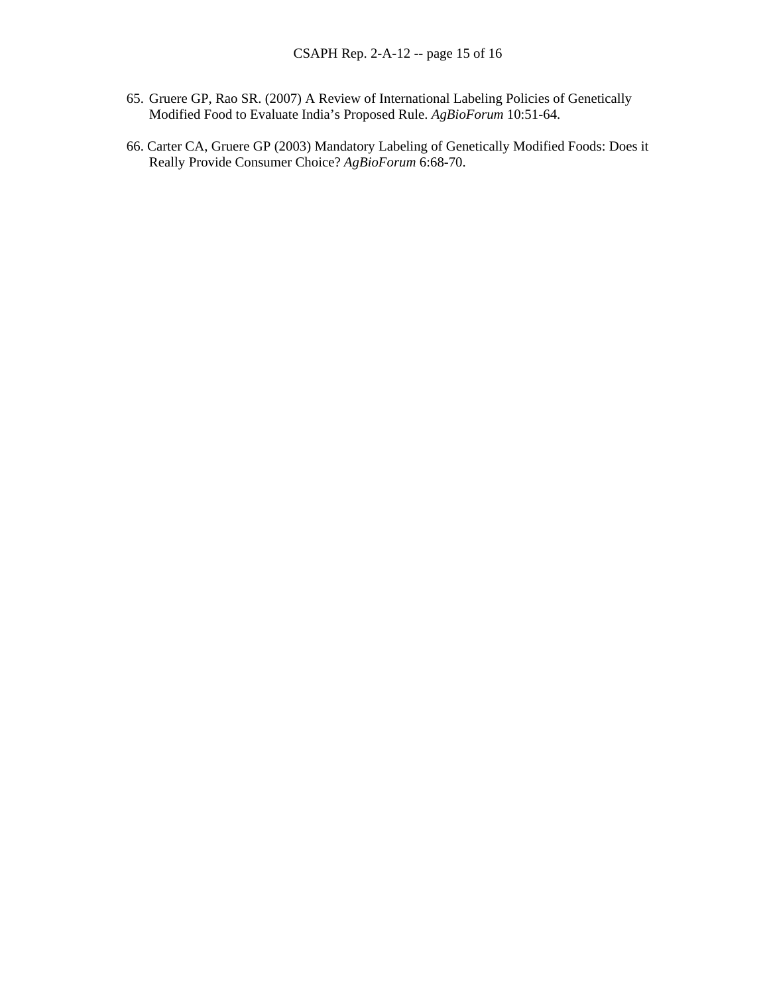- 65. Gruere GP, Rao SR. (2007) A Review of International Labeling Policies of Genetically Modified Food to Evaluate India's Proposed Rule. *AgBioForum* 10:51-64.
- 66. Carter CA, Gruere GP (2003) Mandatory Labeling of Genetically Modified Foods: Does it Really Provide Consumer Choice? *AgBioForum* 6:68-70.